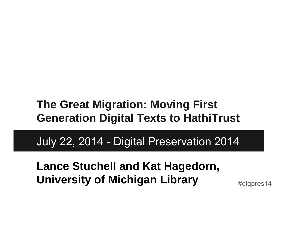#### **The Great Migration: Moving First Generation Digital Texts to HathiTrust**

July 22, 2014 - Digital Preservation 2014

**Lance Stuchell and Kat Hagedorn, University of Michigan Library**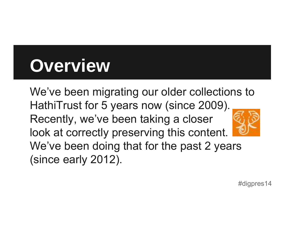## **Overview**

We've been migrating our older collections to HathiTrust for 5 years now (since 2009). Recently, we've been taking a closer look at correctly preserving this content. We've been doing that for the past 2 years (since early 2012).

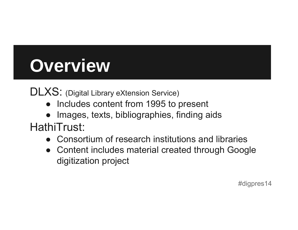## **Overview**

DLXS: (Digital Library eXtension Service)

- Includes content from 1995 to present
- Images, texts, bibliographies, finding aids

HathiTrust:

- Consortium of research institutions and libraries
- Content includes material created through Google digitization project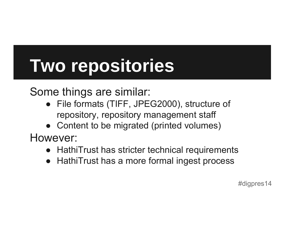## **Two repositories**

Some things are similar:

- File formats (TIFF, JPEG2000), structure of repository, repository management staff
- Content to be migrated (printed volumes)

However:

- HathiTrust has stricter technical requirements
- $\bullet$ HathiTrust has a more formal ingest process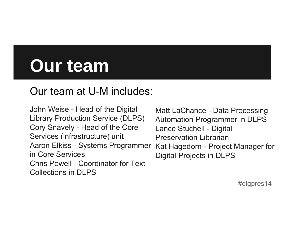## **Our team**

#### Our team at U-M includes:

John Weise - Head of the Digital Library Production Service (DLPS) Cory Snavely - Head of the Core Services (infrastructure) unit Aaron Elkiss - Systems Programmer in Core ServicesChris Powell - Coordinator for Text Collections in DLPS

Matt LaChance - Data Processing Automation Programmer in DLPS Lance Stuchell - Digital Preservation LibrarianKat Hagedorn - Project Manager for Digital Projects in DLPS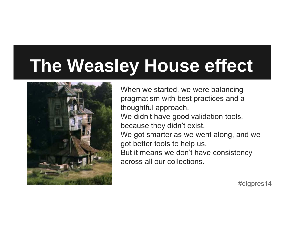## **The Weasley House effect**



When we started, we were balancing pragmatism with best practices and a thoughtful approach. We didn't have good validation tools, because they didn't exist. We got smarter as we went along, and we got better tools to help us. But it means we don't have consistency across all our collections.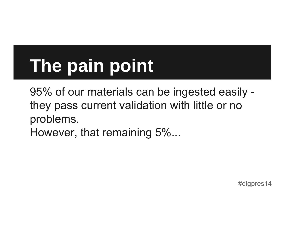## **The pain point**

95% of our materials can be ingested easily they pass current validation with little or no problems. However, that remaining 5%...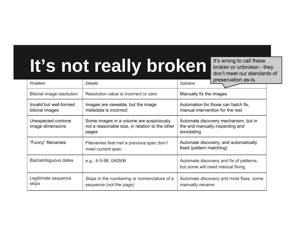### **It's not really broken**

It's wrong to call these broken or unbroken - they don't meet our standards of

| Problem                                   | Details                                                                                              | preservation as-is.<br>Solution                                                       |
|-------------------------------------------|------------------------------------------------------------------------------------------------------|---------------------------------------------------------------------------------------|
|                                           |                                                                                                      |                                                                                       |
| <b>Bitonal image resolution</b>           | Resolution value is incorrect or zero                                                                | Manually fix the images                                                               |
| Invalid but well-formed<br>bitonal images | Images are viewable, but the image<br>metadata is incorrect                                          | Automation for those can batch fix,<br>manual intervention for the rest               |
| Unexpected contone<br>image dimensions    | Some images in a volume are suspiciously<br>not a reasonable size, in relation to the other<br>pages | Automate discovery mechanism, but in<br>the end manually inspecting and<br>annotating |
| "Funny" filenames                         | Filenames that met a previous spec don't<br>meet current spec                                        | Automate discovery, and automatically<br>fixed (pattern matching)                     |
| Bad/ambiguous dates                       | e.g., $4-5-98$ , $040506$                                                                            | Automate discovery and fix of patterns,<br>but some will need manual fixing           |
| Legitimate sequence<br>skips              | Skips in the numbering or nomenclature of a<br>sequence (not the page)                               | Automate discovery and most fixes, some<br>manually rename                            |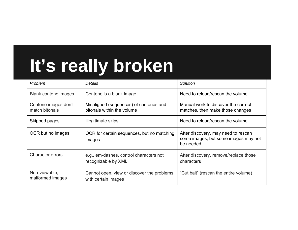## **It's really broken**

| Problem                                | Details                                                              | Solution                                                                                 |
|----------------------------------------|----------------------------------------------------------------------|------------------------------------------------------------------------------------------|
| <b>Blank contone images</b>            | Contone is a blank image                                             | Need to reload/rescan the volume                                                         |
| Contone images don't<br>match bitonals | Misaligned (sequences) of contones and<br>bitonals within the volume | Manual work to discover the correct<br>matches, then make those changes                  |
| Skipped pages                          | Illegitimate skips                                                   | Need to reload/rescan the volume                                                         |
| OCR but no images                      | OCR for certain sequences, but no matching<br>images                 | After discovery, may need to rescan<br>some images, but some images may not<br>be needed |
| <b>Character errors</b>                | e.g., em-dashes, control characters not<br>recognizable by XML       | After discovery, remove/replace those<br>characters                                      |
| Non-viewable,<br>malformed images      | Cannot open, view or discover the problems<br>with certain images    | "Cut bait" (rescan the entire volume)                                                    |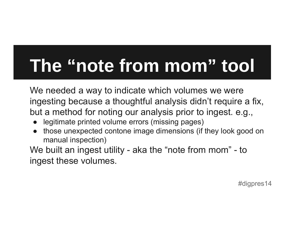## **The "note from mom" tool**

We needed a way to indicate which volumes we were ingesting because a thoughtful analysis didn't require a fix, but a method for noting our analysis prior to ingest. e.g.,

- ●legitimate printed volume errors (missing pages)
- ● those unexpected contone image dimensions (if they look good on manual inspection)

We built an ingest utility - aka the "note from mom" - to ingest these volumes.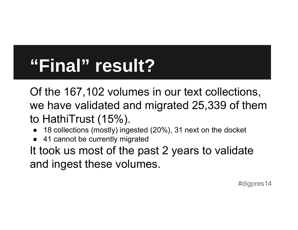## **"Final" result?**

Of the 167,102 volumes in our text collections, we have validated and migrated 25,339 of them to HathiTrust (15%).

- ●18 collections (mostly) ingested (20%), 31 next on the docket
- ●41 cannot be currently migrated

It took us most of the past 2 years to validate and ingest these volumes.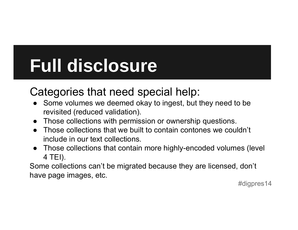## **Full disclosure**

#### Categories that need special help:

- ● Some volumes we deemed okay to ingest, but they need to be revisited (reduced validation).
- Those collections with permission or ownership questions.
- Those collections that we built to contain contones we couldn't include in our text collections.
- Those collections that contain more highly-encoded volumes (level 4 TEI).

Some collections can't be migrated because they are licensed, don't have page images, etc.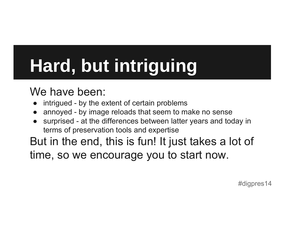# **Hard, but intriguing**

#### We have been:

- ●intrigued - by the extent of certain problems
- ●annoyed - by image reloads that seem to make no sense
- ● surprised - at the differences between latter years and today in terms of preservation tools and expertise

But in the end, this is fun! It just takes a lot of time, so we encourage you to start now.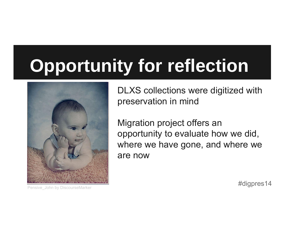## **Opportunity for reflection**



DLXS collections were digitized with preservation in mind

Migration project offers an opportunity to evaluate how we did, where we have gone, and where we are now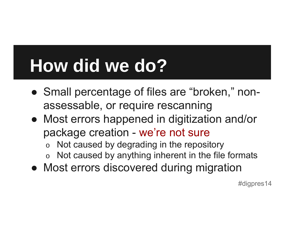## **How did we do?**

- Small percentage of files are "broken," nonassessable, or require rescanning
- Most errors happened in digitization and/or package creation - we're not sure
	- oNot caused by degrading in the repository
	- oNot caused by anything inherent in the file formats
- Most errors discovered during migration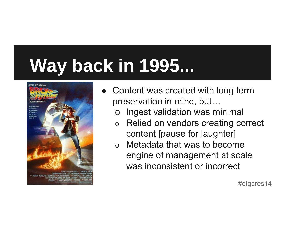## **Way back in 1995...**



- ● Content was created with long term preservation in mind, but…
	- oIngest validation was minimal
	- o Relied on vendors creating correct content [pause for laughter]
	- o Metadata that was to become engine of management at scale was inconsistent or incorrect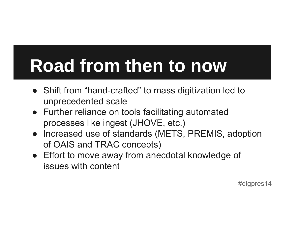## **Road from then to now**

- Shift from "hand-crafted" to mass digitization led to unprecedented scale
- Further reliance on tools facilitating automated processes like ingest (JHOVE, etc.)
- Increased use of standards (METS, PREMIS, adoption of OAIS and TRAC concepts)
- Effort to move away from anecdotal knowledge of issues with content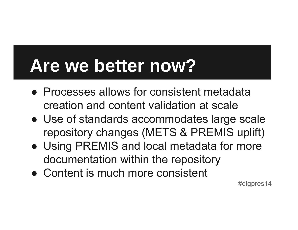### **Are we better now?**

- Processes allows for consistent metadata creation and content validation at scale
- Use of standards accommodates large scale repository changes (METS & PREMIS uplift)
- Using PREMIS and local metadata for more documentation within the repository
- Content is much more consistent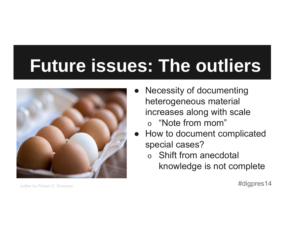## **Future issues: The outliers**



● Necessity of documenting heterogeneous material increases along with scale o "Note from mom"

 $\bullet$  How to document complicated special cases?

#### o Shift from anecdotal knowledge is not complete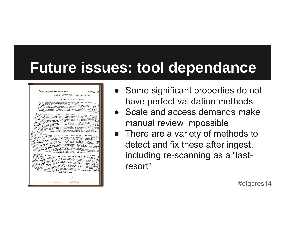### **Future issues: tool dependance**



- Some significant properties do not have perfect validation methods
- Scale and access demands make manual review impossible
- There are a variety of methods to detect and fix these after ingest, including re-scanning as a "lastresort"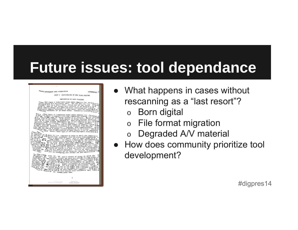### **Future issues: tool dependance**

| <b>FARM MANAGEMENT AND PRODUCTION</b>                                                                                                                                                                                                                                                                                                                                                                                                                                                                                                                                                                                                                                                                                                                                                                                                                                                                                                                                                                                                                                                                                                                                                                                                                                                                                                                                                       |                                         |                                                                                                                                                                                                                                                                                                                                                                                                              | GENERAL I       |
|---------------------------------------------------------------------------------------------------------------------------------------------------------------------------------------------------------------------------------------------------------------------------------------------------------------------------------------------------------------------------------------------------------------------------------------------------------------------------------------------------------------------------------------------------------------------------------------------------------------------------------------------------------------------------------------------------------------------------------------------------------------------------------------------------------------------------------------------------------------------------------------------------------------------------------------------------------------------------------------------------------------------------------------------------------------------------------------------------------------------------------------------------------------------------------------------------------------------------------------------------------------------------------------------------------------------------------------------------------------------------------------------|-----------------------------------------|--------------------------------------------------------------------------------------------------------------------------------------------------------------------------------------------------------------------------------------------------------------------------------------------------------------------------------------------------------------------------------------------------------------|-----------------|
|                                                                                                                                                                                                                                                                                                                                                                                                                                                                                                                                                                                                                                                                                                                                                                                                                                                                                                                                                                                                                                                                                                                                                                                                                                                                                                                                                                                             |                                         | UNIT I AGRICULTURE OF NEW YORK STATE.                                                                                                                                                                                                                                                                                                                                                                        |                 |
|                                                                                                                                                                                                                                                                                                                                                                                                                                                                                                                                                                                                                                                                                                                                                                                                                                                                                                                                                                                                                                                                                                                                                                                                                                                                                                                                                                                             |                                         |                                                                                                                                                                                                                                                                                                                                                                                                              |                 |
|                                                                                                                                                                                                                                                                                                                                                                                                                                                                                                                                                                                                                                                                                                                                                                                                                                                                                                                                                                                                                                                                                                                                                                                                                                                                                                                                                                                             |                                         | DEFINITION OF LAND CLASSES                                                                                                                                                                                                                                                                                                                                                                                   |                 |
| the <i>i</i> <sub>c</sub> is see of the houses will continue of the server $\Delta G$ of the file and contain the expected and contains are not contained by $\Delta T_{\rm tot}$ .<br>n ou charge public services, it they exact multip activity of the<br>1 inits residents or by other areas. Community activity of<br>$lim_{1}$ <sub>ted</sub> .                                                                                                                                                                                                                                                                                                                                                                                                                                                                                                                                                                                                                                                                                                                                                                                                                                                                                                                                                                                                                                        |                                         | Land Class I comprises areas where chances for success<br>$t_1$ $t_{10}$ And Class I comprises areas and the for who thy $t \rightarrow \infty$<br>we uslike are extremely small. The for who the land $\begin{array}{c} \mathbf{r} \\ \mathbf{r} \\ \mathbf{v} \\ \mathbf{v} \\ \mathbf{v} \\ \mathbf{v} \\ \mathbf{v} \\ \mathbf{v} \\ \mathbf{v} \\ \mathbf{v} \\ \mathbf{v} \\ \mathbf{v} \\ \mathbf{v}$ | $r_{\alpha}$ rm |
| Are tand Class II comprises areas where chances for farming for the compact full-time commental farming to continuate<br>Long to and the companion of the commercial farming to continue to the commercial farming to continue of the commercial farming to continue of the commercial farming to continue of the commercial farming of the commercial<br>Tong "when I to experience and present. Much of the Chapter of the compact of the compact of the compact of the compact of the compact of the compact of the compact of the compact of the compact of the compact of the compa<br>Stream the interfection to replace the conduction of the conduction of the conduction of the conduction of the conduction of the conduction of the conduction of the conduction of the conduction of the conduction of the con<br>ing in the second property of the second property of the second of the second in the second of the second in the second in the second of the second in the second in the second in the second in the second in the second in t<br>$T_1Y_{\ell_1}Y_{\ell_2}Y_{\ell_3}Y_{\ell_4}Y_{\ell_5}Y_{\ell_6}Y_{\ell_7}Y_{\ell_8}Y_{\ell_7}Y_{\ell_8}Y_{\ell_7}Y_{\ell_8}Y_{\ell_7}Y_{\ell_7}Y_{\ell_7}Y_{\ell_7}Y_{\ell_7}Y_{\ell_7}Y_{\ell_7}Y_{\ell_7}Y_{\ell_7}Y_{\ell_7}Y_{\ell_7}Y_{\ell_7}Y_{\ell_7}Y_{\ell_7}Y_{\ell_7}Y_{\ell_7}Y_{\ell_7}Y_{\ell_7}Y_{\ell_7}$ |                                         |                                                                                                                                                                                                                                                                                                                                                                                                              | the             |
| it physics of the contributed operation. Incomes by series have a series of the contributed operation. Incomes in the series of the contributed operation of contributed by the contributed of the contributed of the principa                                                                                                                                                                                                                                                                                                                                                                                                                                                                                                                                                                                                                                                                                                                                                                                                                                                                                                                                                                                                                                                                                                                                                              |                                         |                                                                                                                                                                                                                                                                                                                                                                                                              |                 |
| $\begin{smallmatrix} \text{Top} & \text{high} \\ \text{high} & \text{high} \\ \text{high} & \text{high} \\ \text{high} & \text{high} \\ \text{high} & \text{high} \\ \text{high} & \text{high} \\ \text{high} & \text{high} \\ \text{high} & \text{high} \\ \text{high} & \text{high} \\ \text{high} & \text{high} \\ \text{high} & \text{high} \\ \text{high} & \text{high} \\ \text{high} & \text{high} \\ \text{high} & \text{high} \\ \text{high} & \text{high} \\ \text{high} & \text{high} \\ \text{high} & \text{high} \\ \text{high} & \text{high$                                                                                                                                                                                                                                                                                                                                                                                                                                                                                                                                                                                                                                                                                                                                                                                                                                  |                                         |                                                                                                                                                                                                                                                                                                                                                                                                              |                 |
|                                                                                                                                                                                                                                                                                                                                                                                                                                                                                                                                                                                                                                                                                                                                                                                                                                                                                                                                                                                                                                                                                                                                                                                                                                                                                                                                                                                             |                                         | ı                                                                                                                                                                                                                                                                                                                                                                                                            |                 |
|                                                                                                                                                                                                                                                                                                                                                                                                                                                                                                                                                                                                                                                                                                                                                                                                                                                                                                                                                                                                                                                                                                                                                                                                                                                                                                                                                                                             | Dailred by Google<br>CORNELL UNIVERSITY | Original from                                                                                                                                                                                                                                                                                                                                                                                                |                 |

- What happens in cases without rescanning as a "last resort"?
	- oBorn digital
	- oFile format migration
	- oDegraded A/V material
- How does community prioritize tool development?